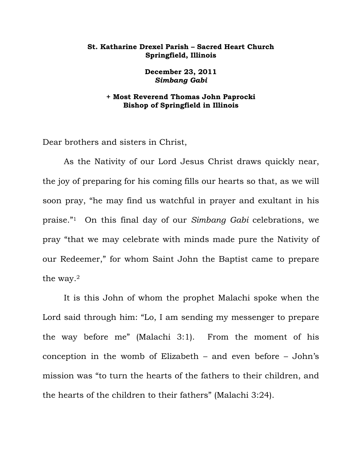## **St. Katharine Drexel Parish – Sacred Heart Church Springfield, Illinois**

**December 23, 2011**  *Simbang Gabi*

## **+ Most Reverend Thomas John Paprocki Bishop of Springfield in Illinois**

Dear brothers and sisters in Christ,

 As the Nativity of our Lord Jesus Christ draws quickly near, the joy of preparing for his coming fills our hearts so that, as we will soon pray, "he may find us watchful in prayer and exultant in his praise."1 On this final day of our *Simbang Gabi* celebrations, we pray "that we may celebrate with minds made pure the Nativity of our Redeemer," for whom Saint John the Baptist came to prepare the way.2

 It is this John of whom the prophet Malachi spoke when the Lord said through him: "Lo, I am sending my messenger to prepare the way before me" (Malachi 3:1). From the moment of his conception in the womb of Elizabeth – and even before – John's mission was "to turn the hearts of the fathers to their children, and the hearts of the children to their fathers" (Malachi 3:24).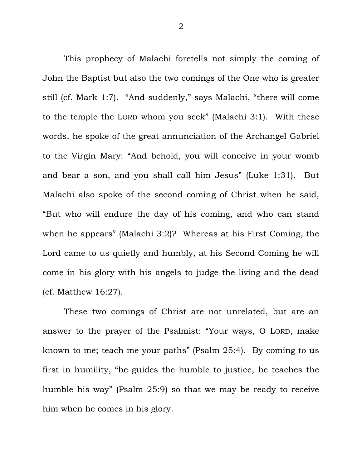This prophecy of Malachi foretells not simply the coming of John the Baptist but also the two comings of the One who is greater still (cf. Mark 1:7). "And suddenly," says Malachi, "there will come to the temple the LORD whom you seek" (Malachi 3:1). With these words, he spoke of the great annunciation of the Archangel Gabriel to the Virgin Mary: "And behold, you will conceive in your womb and bear a son, and you shall call him Jesus" (Luke 1:31). But Malachi also spoke of the second coming of Christ when he said, "But who will endure the day of his coming, and who can stand when he appears" (Malachi 3:2)? Whereas at his First Coming, the Lord came to us quietly and humbly, at his Second Coming he will come in his glory with his angels to judge the living and the dead (cf. Matthew 16:27).

 These two comings of Christ are not unrelated, but are an answer to the prayer of the Psalmist: "Your ways, O LORD, make known to me; teach me your paths" (Psalm 25:4). By coming to us first in humility, "he guides the humble to justice, he teaches the humble his way" (Psalm 25:9) so that we may be ready to receive him when he comes in his glory.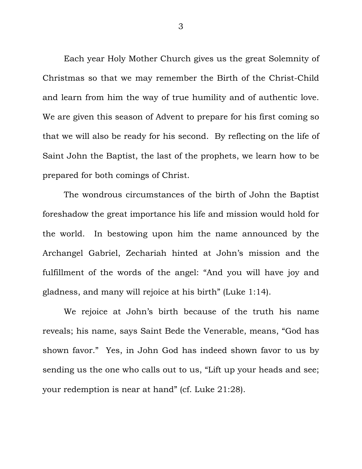Each year Holy Mother Church gives us the great Solemnity of Christmas so that we may remember the Birth of the Christ-Child and learn from him the way of true humility and of authentic love. We are given this season of Advent to prepare for his first coming so that we will also be ready for his second. By reflecting on the life of Saint John the Baptist, the last of the prophets, we learn how to be prepared for both comings of Christ.

 The wondrous circumstances of the birth of John the Baptist foreshadow the great importance his life and mission would hold for the world. In bestowing upon him the name announced by the Archangel Gabriel, Zechariah hinted at John's mission and the fulfillment of the words of the angel: "And you will have joy and gladness, and many will rejoice at his birth" (Luke 1:14).

 We rejoice at John's birth because of the truth his name reveals; his name, says Saint Bede the Venerable, means, "God has shown favor." Yes, in John God has indeed shown favor to us by sending us the one who calls out to us, "Lift up your heads and see; your redemption is near at hand" (cf. Luke 21:28).